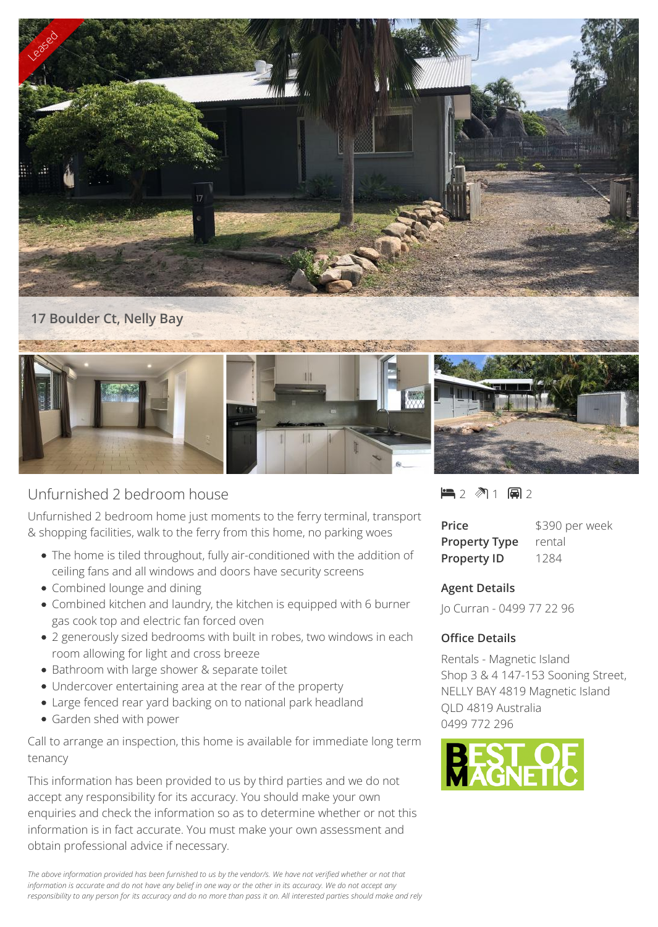

## **17 Boulder Ct, Nelly Bay**



## Unfurnished 2 bedroom house

Unfurnished 2 bedroom home just moments to the ferry terminal, transport & shopping facilities, walk to the ferry from this home, no parking woes

- The home is tiled throughout, fully air-conditioned with the addition of ceiling fans and all windows and doors have security screens
- Combined lounge and dining
- Combined kitchen and laundry, the kitchen is equipped with 6 burner gas cook top and electric fan forced oven
- 2 generously sized bedrooms with built in robes, two windows in each room allowing for light and cross breeze
- Bathroom with large shower & separate toilet
- Undercover entertaining area at the rear of the property
- Large fenced rear yard backing on to national park headland
- Garden shed with power

Call to arrange an inspection, this home is available for immediate long term tenancy

This information has been provided to us by third parties and we do not accept any responsibility for its accuracy. You should make your own enquiries and check the information so as to determine whether or not this information is in fact accurate. You must make your own assessment and obtain professional advice if necessary.

*The above information provided has been furnished to us by the vendor/s. We have not verified whether or not that information is accurate and do not have any belief in one way or the other in its accuracy. We do not accept any responsibility to any person for its accuracy and do no more than pass it on. All interested parties should make and rely*  $-2$   $\sqrt[3]{1}$   $-2$ 

| Price                | \$390 per week |
|----------------------|----------------|
| <b>Property Type</b> | rental         |
| <b>Property ID</b>   | 1284           |

## **Agent Details**

Jo Curran - 0499 77 22 96

## **Office Details**

Rentals - Magnetic Island Shop 3 & 4 147-153 Sooning Street, NELLY BAY 4819 Magnetic Island QLD 4819 Australia 0499 772 296